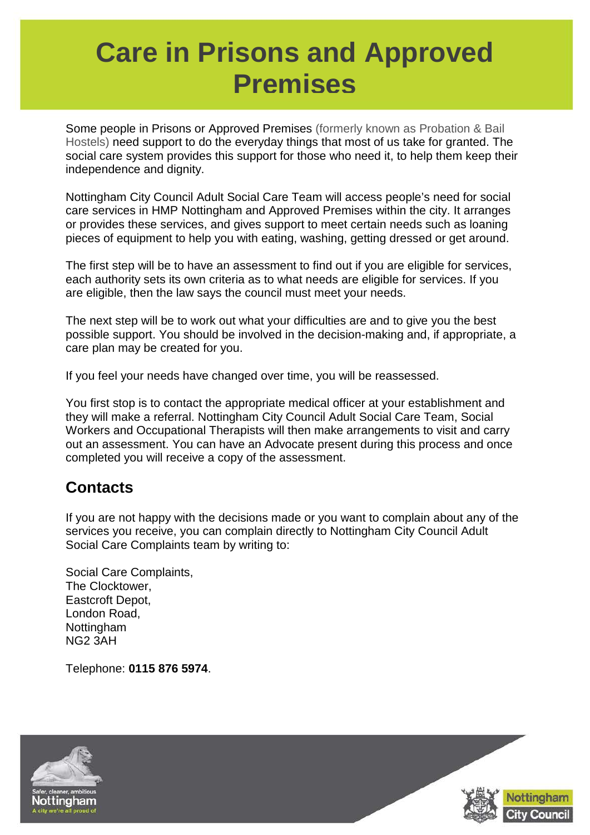## **Care in Prisons and Approved Premises**

Some people in Prisons or Approved Premises (formerly known as Probation & Bail Hostels) need support to do the everyday things that most of us take for granted. The social care system provides this support for those who need it, to help them keep their independence and dignity.

Nottingham City Council Adult Social Care Team will access people's need for social care services in HMP Nottingham and Approved Premises within the city. It arranges or provides these services, and gives support to meet certain needs such as loaning pieces of equipment to help you with eating, washing, getting dressed or get around.

The first step will be to have an assessment to find out if you are eligible for services, each authority sets its own criteria as to what needs are eligible for services. If you are eligible, then the law says the council must meet your needs.

The next step will be to work out what your difficulties are and to give you the best possible support. You should be involved in the decision-making and, if appropriate, a care plan may be created for you.

If you feel your needs have changed over time, you will be reassessed.

You first stop is to contact the appropriate medical officer at your establishment and they will make a referral. Nottingham City Council Adult Social Care Team, Social Workers and Occupational Therapists will then make arrangements to visit and carry out an assessment. You can have an Advocate present during this process and once completed you will receive a copy of the assessment.

## **Contacts**

If you are not happy with the decisions made or you want to complain about any of the services you receive, you can complain directly to Nottingham City Council Adult Social Care Complaints team by writing to:

Social Care Complaints, The Clocktower, Eastcroft Depot, London Road, Nottingham NG2 3AH

Telephone: **0115 876 5974**.